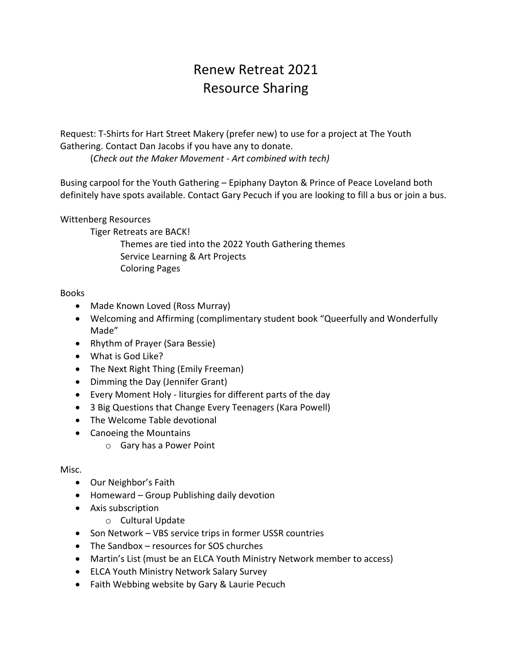# Renew Retreat 2021 Resource Sharing

Request: T-Shirts for Hart Street Makery (prefer new) to use for a project at The Youth Gathering. Contact Dan Jacobs if you have any to donate.

(*Check out the Maker Movement - Art combined with tech)*

Busing carpool for the Youth Gathering – Epiphany Dayton & Prince of Peace Loveland both definitely have spots available. Contact Gary Pecuch if you are looking to fill a bus or join a bus.

Wittenberg Resources

Tiger Retreats are BACK!

Themes are tied into the 2022 Youth Gathering themes Service Learning & Art Projects Coloring Pages

### Books

- Made Known Loved (Ross Murray)
- Welcoming and Affirming (complimentary student book "Queerfully and Wonderfully Made"
- Rhythm of Prayer (Sara Bessie)
- What is God Like?
- The Next Right Thing (Emily Freeman)
- Dimming the Day (Jennifer Grant)
- Every Moment Holy liturgies for different parts of the day
- 3 Big Questions that Change Every Teenagers (Kara Powell)
- The Welcome Table devotional
- Canoeing the Mountains
	- o Gary has a Power Point

### Misc.

- Our Neighbor's Faith
- Homeward Group Publishing daily devotion
- Axis subscription
	- o Cultural Update
- Son Network VBS service trips in former USSR countries
- The Sandbox resources for SOS churches
- Martin's List (must be an ELCA Youth Ministry Network member to access)
- ELCA Youth Ministry Network Salary Survey
- Faith Webbing website by Gary & Laurie Pecuch